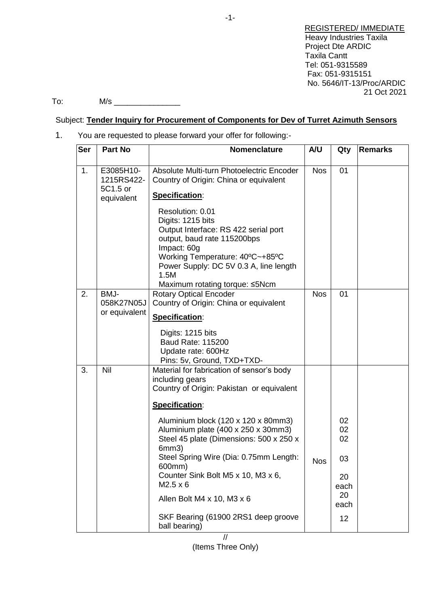REGISTERED/ IMMEDIATE Heavy Industries Taxila Project Dte ARDIC Taxila Cantt Tel: 051-9315589 Fax: 051-9315151 No. 5646/IT-13/Proc/ARDIC 21 Oct 2021

To: M/s \_\_\_\_\_\_\_\_\_\_\_\_\_\_\_

### Subject: **Tender Inquiry for Procurement of Components for Dev of Turret Azimuth Sensors**

1. You are requested to please forward your offer for following:-

| <b>Ser</b> | <b>Part No</b>                                    | Nomenclature                                                                                                                                                                                                                                                                                                                                                                                                                                                     | A/U        | Qty                                                    | <b>Remarks</b> |
|------------|---------------------------------------------------|------------------------------------------------------------------------------------------------------------------------------------------------------------------------------------------------------------------------------------------------------------------------------------------------------------------------------------------------------------------------------------------------------------------------------------------------------------------|------------|--------------------------------------------------------|----------------|
| 1.         | E3085H10-<br>1215RS422-<br>5C1.5 or<br>equivalent | Absolute Multi-turn Photoelectric Encoder<br>Country of Origin: China or equivalent<br>Specification:<br>Resolution: 0.01<br>Digits: 1215 bits<br>Output Interface: RS 422 serial port<br>output, baud rate 115200bps<br>Impact: 60g<br>Working Temperature: 40°C~+85°C<br>Power Supply: DC 5V 0.3 A, line length<br>1.5M<br>Maximum rotating torque: ≤5Ncm                                                                                                      | <b>Nos</b> | 01                                                     |                |
| 2.         | BMJ-<br>058K27N05J<br>or equivalent               | <b>Rotary Optical Encoder</b><br>Country of Origin: China or equivalent<br>Specification:<br>Digits: 1215 bits<br>Baud Rate: 115200<br>Update rate: 600Hz<br>Pins: 5v, Ground, TXD+TXD-                                                                                                                                                                                                                                                                          | <b>Nos</b> | 01                                                     |                |
| 3.         | Nil                                               | Material for fabrication of sensor's body<br>including gears<br>Country of Origin: Pakistan or equivalent<br>Specification:<br>Aluminium block (120 x 120 x 80mm3)<br>Aluminium plate (400 x 250 x 30mm3)<br>Steel 45 plate (Dimensions: 500 x 250 x<br>6mm3)<br>Steel Spring Wire (Dia: 0.75mm Length:<br>600mm)<br>Counter Sink Bolt M5 x 10, M3 x 6,<br>$M2.5 \times 6$<br>Allen Bolt M4 x 10, M3 x 6<br>SKF Bearing (61900 2RS1 deep groove<br>ball bearing) | <b>Nos</b> | 02<br>02<br>02<br>03<br>20<br>each<br>20<br>each<br>12 |                |

-1-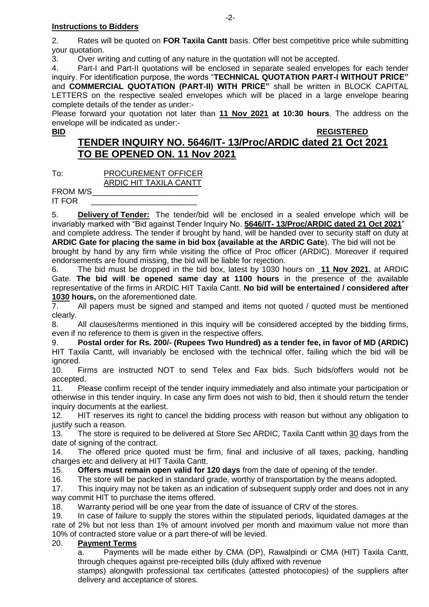2. Rates will be quoted on **FOR Taxila Cantt** basis. Offer best competitive price while submitting your quotation.

3. Over writing and cutting of any nature in the quotation will not be accepted.

4. Part-I and Part-II quotations will be enclosed in separate sealed envelopes for each tender inquiry. For identification purpose, the words "**TECHNICAL QUOTATION PART-I WITHOUT PRICE"** and **COMMERCIAL QUOTATION (PART-II) WITH PRICE"** shall be written in BLOCK CAPITAL LETTERS on the respective sealed envelopes which will be placed in a large envelope bearing complete details of the tender as under:-

Please forward your quotation not later than **11 Nov 2021 at 10:30 hours**. The address on the envelope will be indicated as under:-

#### **BID REGISTERED**

# **TENDER INQUIRY NO. 5646/IT- 13/Proc/ARDIC dated 21 Oct 2021 TO BE OPENED ON. 11 Nov 2021**

To: PROCUREMENT OFFICER ARDIC HIT TAXILA CANTT

FROM M/S\_\_\_\_\_\_\_\_\_\_\_\_\_\_\_\_\_\_\_\_\_\_\_\_

IT FOR \_\_\_\_\_\_\_\_\_\_\_\_\_\_\_\_\_\_\_\_\_\_\_\_

5. **Delivery of Tender:** The tender/bid will be enclosed in a sealed envelope which will be invariably marked with "Bid against Tender Inquiry No. **5646/IT- 13/Proc/ARDIC dated 21 Oct 2021**" and complete address. The tender if brought by hand, will be handed over to security staff on duty at **ARDIC Gate for placing the same in bid box (available at the ARDIC Gate**). The bid will not be brought by hand by any firm while visiting the office of Proc officer (ARDIC). Moreover if required

endorsements are found missing, the bid will be liable for rejection. 6. The bid must be dropped in the bid box, latest by 1030 hours on **11 Nov 2021**, at ARDIC Gate. **The bid will be opened same day at 1100 hours** in the presence of the available representative of the firms in ARDIC HIT Taxila Cantt. **No bid will be entertained / considered after 1030 hours,** on the aforementioned date.

7. All papers must be signed and stamped and items not quoted / quoted must be mentioned clearly.

8. All clauses/terms mentioned in this inquiry will be considered accepted by the bidding firms, even if no reference to them is given in the respective offers.

9. **Postal order for Rs. 200/- (Rupees Two Hundred) as a tender fee, in favor of MD (ARDIC)** HIT Taxila Cantt, will invariably be enclosed with the technical offer, failing which the bid will be ignored.

10. Firms are instructed NOT to send Telex and Fax bids. Such bids/offers would not be accepted.

11. Please confirm receipt of the tender inquiry immediately and also intimate your participation or otherwise in this tender inquiry. In case any firm does not wish to bid, then it should return the tender inquiry documents at the earliest.

12. HIT reserves its right to cancel the bidding process with reason but without any obligation to justify such a reason.

13. The store is required to be delivered at Store Sec ARDIC, Taxila Cantt within 30 days from the date of signing of the contract.

14. The offered price quoted must be firm, final and inclusive of all taxes, packing, handling charges etc and delivery at HIT Taxila Cantt.

15. **Offers must remain open valid for 120 days** from the date of opening of the tender.

16. The store will be packed in standard grade, worthy of transportation by the means adopted.

17. This inquiry may not be taken as an indication of subsequent supply order and does not in any way commit HIT to purchase the items offered.

18. Warranty period will be one year from the date of issuance of CRV of the stores.

19. In case of failure to supply the stores within the stipulated periods, liquidated damages at the rate of 2% but not less than 1% of amount involved per month and maximum value not more than 10% of contracted store value or a part there-of will be levied.

## 20. **Payment Terms**

a. Payments will be made either by CMA (DP), Rawalpindi or CMA (HIT) Taxila Cantt, through cheques against pre-receipted bills (duly affixed with revenue

stamps) alongwith professional tax certificates (attested photocopies) of the suppliers after delivery and acceptance of stores.